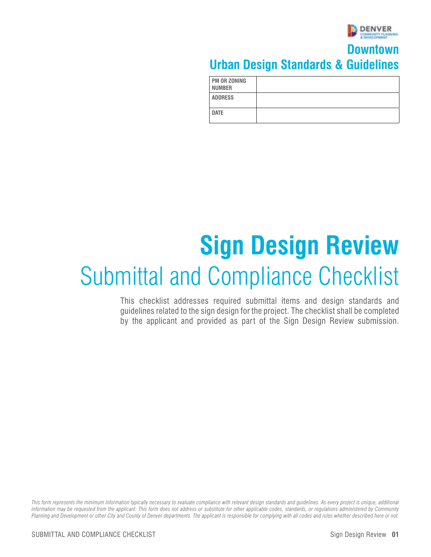

## **Downtown Urban Design Standards & Guidelines**

| <b>PM OR ZONING</b><br><b>NUMBER</b> |  |
|--------------------------------------|--|
| <b>ADDRESS</b>                       |  |
| <b>DATE</b>                          |  |

# **Sign Design Review**  Submittal and Compliance Checklist

This checklist addresses required submittal items and design standards and guidelines related to the sign design for the project. The checklist shall be completed by the applicant and provided as part of the Sign Design Review submission.

*This form represents the minimum information typically necessary to evaluate compliance with relevant design standards and guidelines. As every project is unique, additional information may be requested from the applicant. This form does not address or substitute for other applicable codes, standards, or regulations administered by Community Planning and Development or other City and County of Denver departments. The applicant is responsible for complying with all codes and rules whether described here or not.*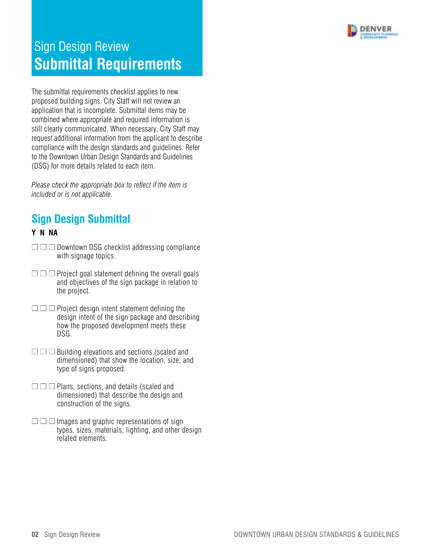

## **Submittal Requirements** Sign Design Review

The submittal requirements checklist applies to new proposed building signs. City Staff will not review an application that is incomplete. Submittal items may be combined where appropriate and required information is still clearly communicated. When necessary, City Staff may request additional information from the applicant to describe compliance with the design standards and guidelines. Refer to the Downtown Urban Design Standards and Guidelines (DSG) for more details related to each item.

*Please check the appropriate box to reflect if the item is included or is not applicable.* 

#### **Sign Design Submittal Y N NA**

- $\square \square$  Downtown DSG checklist addressing compliance with signage topics.
- $\square \square$  Project goal statement defining the overall goals and objectives of the sign package in relation to the project.
- $\square \square$  Project design intent statement defining the design intent of the sign package and describing how the proposed development meets these DSG.
- $\square \square$  Building elevations and sections (scaled and dimensioned) that show the location, size, and type of signs proposed.
- $\square \square$  Plans, sections, and details (scaled and dimensioned) that describe the design and construction of the signs.
- $\square \square$  Images and graphic representations of sign types, sizes, materials, lighting, and other design related elements.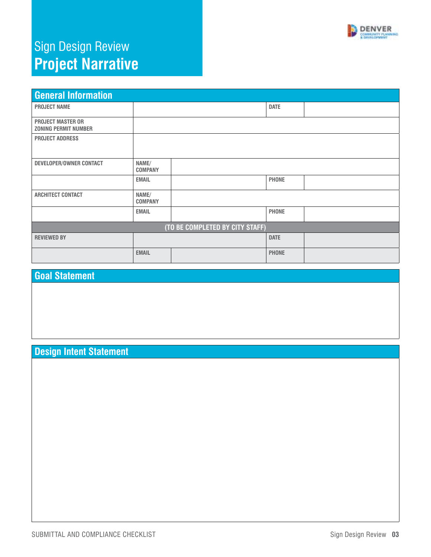

## Sign Design Review **Project Narrative**

| <b>General Information</b>                              |                         |                                 |              |  |
|---------------------------------------------------------|-------------------------|---------------------------------|--------------|--|
| <b>PROJECT NAME</b>                                     |                         |                                 | <b>DATE</b>  |  |
| <b>PROJECT MASTER OR</b><br><b>ZONING PERMIT NUMBER</b> |                         |                                 |              |  |
| <b>PROJECT ADDRESS</b>                                  |                         |                                 |              |  |
| <b>DEVELOPER/OWNER CONTACT</b>                          | NAME/<br><b>COMPANY</b> |                                 |              |  |
|                                                         | <b>EMAIL</b>            |                                 | <b>PHONE</b> |  |
| <b>ARCHITECT CONTACT</b>                                | NAME/<br><b>COMPANY</b> |                                 |              |  |
|                                                         | <b>EMAIL</b>            |                                 | <b>PHONE</b> |  |
|                                                         |                         | (TO BE COMPLETED BY CITY STAFF) |              |  |
| <b>REVIEWED BY</b>                                      |                         |                                 | <b>DATE</b>  |  |
|                                                         | <b>EMAIL</b>            |                                 | <b>PHONE</b> |  |

## **Goal Statement**

### **Design Intent Statement**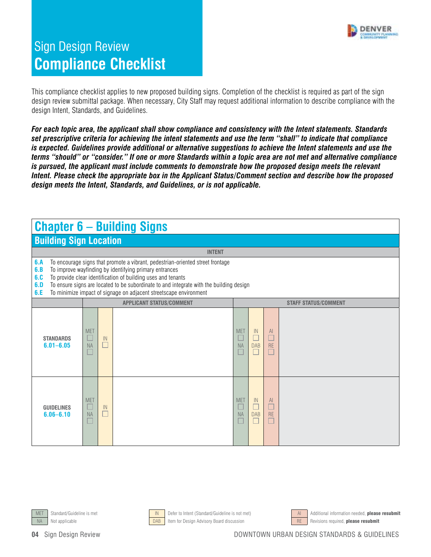

This compliance checklist applies to new proposed building signs. Completion of the checklist is required as part of the sign design review submittal package. When necessary, City Staff may request additional information to describe compliance with the design Intent, Standards, and Guidelines.

*For each topic area, the applicant shall show compliance and consistency with the Intent statements. Standards set prescriptive criteria for achieving the intent statements and use the term "shall" to indicate that compliance is expected. Guidelines provide additional or alternative suggestions to achieve the Intent statements and use the terms "should" or "consider." If one or more Standards within a topic area are not met and alternative compliance is pursued, the applicant must include comments to demonstrate how the proposed design meets the relevant Intent. Please check the appropriate box in the Applicant Status/Comment section and describe how the proposed design meets the Intent, Standards, and Guidelines, or is not applicable.* 

**INTENT** 

## **Chapter 6 – Building Signs**

#### **Building Sign Location**

- **6.A** To encourage signs that promote a vibrant, pedestrian-oriented street frontage
- **6.B** To improve wayfinding by identifying primary entrances
- **6.C** To provide clear identification of building uses and tenants
- **6.D** To ensure signs are located to be subordinate to and integrate with the building design
- **6.E** To minimize impact of signage on adjacent streetscape environment

| $\mathbf{v}$ .<br>TO THIMMILED IMpact or signage on aujacent succiseape christmoment |                                             |                 |  |                                        |                  |                             |  |  |  |
|--------------------------------------------------------------------------------------|---------------------------------------------|-----------------|--|----------------------------------------|------------------|-----------------------------|--|--|--|
|                                                                                      | <b>APPLICANT STATUS/COMMENT</b>             |                 |  |                                        |                  | <b>STAFF STATUS/COMMENT</b> |  |  |  |
| <b>STANDARDS</b><br>$6.01 - 6.05$                                                    | <b>MET</b><br>$\Box$<br><b>NA</b><br>$\Box$ | ${\sf IN}$      |  | <b>MET</b><br>L<br><b>NA</b><br>$\Box$ | IN<br><b>DAB</b> | AI<br>RE                    |  |  |  |
| <b>GUIDELINES</b><br>$6.06 - 6.10$                                                   | <b>MET</b><br>$\Box$<br><b>NA</b><br>┚      | ${\sf IN}$<br>Ö |  | <b>MET</b><br>L<br>NA<br>С             | IN<br><b>DAB</b> | AI<br>г<br>RE<br>Г          |  |  |  |





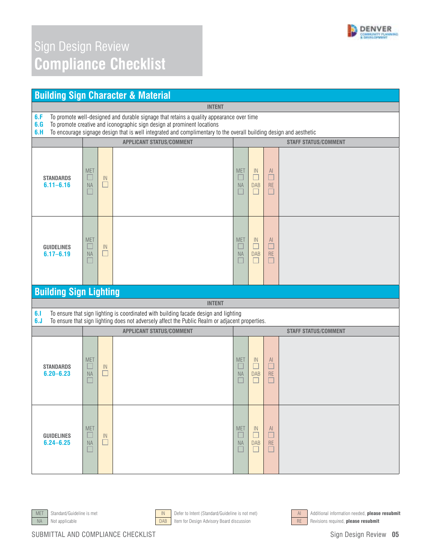

| <b>Building Sign Character &amp; Material</b>                                                                                                                                                                                                                                                                  |                                        |                                      |  |                                        |                                                       |                                     |  |  |  |  |
|----------------------------------------------------------------------------------------------------------------------------------------------------------------------------------------------------------------------------------------------------------------------------------------------------------------|----------------------------------------|--------------------------------------|--|----------------------------------------|-------------------------------------------------------|-------------------------------------|--|--|--|--|
| <b>INTENT</b>                                                                                                                                                                                                                                                                                                  |                                        |                                      |  |                                        |                                                       |                                     |  |  |  |  |
| 6.F<br>To promote well-designed and durable signage that retains a quality appearance over time<br>To promote creative and iconographic sign design at prominent locations<br>6.G<br>To encourage signage design that is well integrated and complimentary to the overall building design and aesthetic<br>6.H |                                        |                                      |  |                                        |                                                       |                                     |  |  |  |  |
| <b>APPLICANT STATUS/COMMENT</b><br><b>STAFF STATUS/COMMENT</b>                                                                                                                                                                                                                                                 |                                        |                                      |  |                                        |                                                       |                                     |  |  |  |  |
| <b>STANDARDS</b><br>$6.11 - 6.16$                                                                                                                                                                                                                                                                              | <b>MET</b><br>$\Box$<br><b>NA</b><br>H | IN<br>$\Box$                         |  | <b>MET</b><br>$\Box$<br><b>NA</b><br>г | $\mathsf{IN}$<br>П<br><b>DAB</b><br>$\Box$            | AI<br>$\Box$<br>RE<br>$\Box$        |  |  |  |  |
| <b>GUIDELINES</b><br>$6.17 - 6.19$                                                                                                                                                                                                                                                                             | <b>MET</b><br>$\Box$<br>NA<br>ш        | $\ensuremath{\mathsf{IN}}$<br>$\Box$ |  | <b>MET</b><br>$\Box$<br><b>NA</b><br>L | $\mathsf{IN}$<br>$\Box$<br><b>DAB</b><br>$\mathsf{L}$ | AI<br>$\Box$<br><b>RE</b><br>$\Box$ |  |  |  |  |
| <b>Building Sign Lighting</b>                                                                                                                                                                                                                                                                                  |                                        |                                      |  |                                        |                                                       |                                     |  |  |  |  |
| <b>INTENT</b>                                                                                                                                                                                                                                                                                                  |                                        |                                      |  |                                        |                                                       |                                     |  |  |  |  |
| To ensure that sign lighting is coordinated with building facade design and lighting<br>6.1<br>6. J<br>To ensure that sign lighting does not adversely affect the Public Realm or adjacent properties.                                                                                                         |                                        |                                      |  |                                        |                                                       |                                     |  |  |  |  |
|                                                                                                                                                                                                                                                                                                                | <b>APPLICANT STATUS/COMMENT</b>        |                                      |  |                                        |                                                       | <b>STAFF STATUS/COMMENT</b>         |  |  |  |  |
| <b>STANDARDS</b><br>$6.20 - 6.23$                                                                                                                                                                                                                                                                              | <b>MET</b><br>ш<br>NA<br>$\Box$        | $\ensuremath{\mathsf{IN}}$<br>$\Box$ |  | <b>MET</b><br>L<br><b>NA</b><br>L      | $\mathsf{IN}$<br>$\mathbf{L}$<br><b>DAB</b><br>□      | AI<br>□<br>RE<br>□                  |  |  |  |  |
| <b>GUIDELINES</b><br>$6.24 - 6.25$                                                                                                                                                                                                                                                                             | <b>MET</b><br><b>NA</b>                | IN<br>ш                              |  | <b>MET</b><br><b>NA</b>                | IN<br><b>DAB</b><br>П                                 | AI.<br><b>RE</b><br>П               |  |  |  |  |







MET Standard/Guideline is met **IN Defer to Intent (Standard/Guideline** is not met) Additional information needed, **please resubmit**<br> **Example 2016** Manufacture of Allen Manufacture is not method information information nee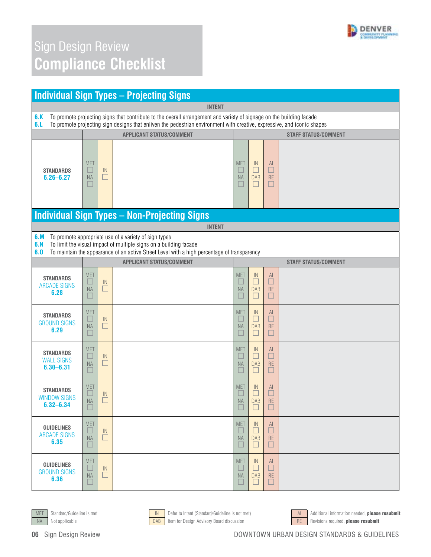

| <b>Individual Sign Types - Projecting Signs</b>                                                                                                                                                                                                               |                         |                                        |                                                                                                                                |                                   |                            |                                      |                             |  |
|---------------------------------------------------------------------------------------------------------------------------------------------------------------------------------------------------------------------------------------------------------------|-------------------------|----------------------------------------|--------------------------------------------------------------------------------------------------------------------------------|-----------------------------------|----------------------------|--------------------------------------|-----------------------------|--|
| <b>INTENT</b>                                                                                                                                                                                                                                                 |                         |                                        |                                                                                                                                |                                   |                            |                                      |                             |  |
| To promote projecting signs that contribute to the overall arrangement and variety of signage on the building facade<br>6.K<br>To promote projecting sign designs that enliven the pedestrian environment with creative, expressive, and iconic shapes<br>6.L |                         |                                        |                                                                                                                                |                                   |                            |                                      |                             |  |
|                                                                                                                                                                                                                                                               |                         |                                        | <b>APPLICANT STATUS/COMMENT</b>                                                                                                |                                   |                            |                                      | <b>STAFF STATUS/COMMENT</b> |  |
| <b>STANDARDS</b><br>$6,26 - 6,27$                                                                                                                                                                                                                             | <b>MET</b><br><b>NA</b> | IN<br>Ш                                |                                                                                                                                | <b>MET</b><br>$\Box$<br><b>NA</b> | IN<br>$\Box$<br><b>DAB</b> | <sup>Al</sup><br>$\Box$<br><b>RE</b> |                             |  |
|                                                                                                                                                                                                                                                               |                         |                                        | <b>Individual Sign Types - Non-Projecting Signs</b>                                                                            |                                   |                            |                                      |                             |  |
| 6.M                                                                                                                                                                                                                                                           |                         |                                        | <b>INTENT</b><br>To promote appropriate use of a variety of sign types                                                         |                                   |                            |                                      |                             |  |
| 6.N                                                                                                                                                                                                                                                           |                         |                                        | To limit the visual impact of multiple signs on a building facade                                                              |                                   |                            |                                      |                             |  |
| 6.0                                                                                                                                                                                                                                                           |                         |                                        | To maintain the appearance of an active Street Level with a high percentage of transparency<br><b>APPLICANT STATUS/COMMENT</b> |                                   |                            |                                      | <b>STAFF STATUS/COMMENT</b> |  |
| <b>STANDARDS</b><br><b>ARCADE SIGNS</b><br>6.28                                                                                                                                                                                                               | <b>MET</b><br><b>NA</b> | IN<br>ш                                |                                                                                                                                | <b>MET</b><br><b>NA</b><br>П      | IN<br>г<br><b>DAB</b><br>П | AI<br>□<br><b>RE</b><br>▉            |                             |  |
| <b>STANDARDS</b><br><b>GROUND SIGNS</b><br>6.29                                                                                                                                                                                                               | <b>MET</b><br>NA        | IN<br>П                                |                                                                                                                                | <b>MET</b><br>$\Box$<br><b>NA</b> | IN<br><b>DAB</b>           | AI<br><b>RE</b>                      |                             |  |
| <b>STANDARDS</b><br><b>WALL SIGNS</b><br>$6.30 - 6.31$                                                                                                                                                                                                        | <b>MET</b><br><b>NA</b> | $\ensuremath{\mathsf{IN}}\xspace$<br>ш |                                                                                                                                | <b>MET</b><br>ш<br><b>NA</b>      | IN<br><b>DAB</b>           | AI<br><b>RE</b>                      |                             |  |
| <b>STANDARDS</b><br><b>WINDOW SIGNS</b><br>$6.32 - 6.34$                                                                                                                                                                                                      | <b>MET</b><br>$\sf NA$  | IN<br>$\Box$                           |                                                                                                                                | <b>MET</b><br><b>NA</b>           | IN<br>DAB                  | AI.<br>$\Box$<br>RE                  |                             |  |
| <b>GUIDELINES</b><br><b>ARCADE SIGNS</b><br>6.35                                                                                                                                                                                                              | <b>MET</b><br><b>NA</b> | IN                                     |                                                                                                                                | <b>MET</b><br>$\Box$<br><b>NA</b> | IN.<br>Е<br><b>DAB</b>     | AI<br>п<br><b>RE</b>                 |                             |  |
| <b>GUIDELINES</b><br><b>GROUND SIGNS</b><br>6.36                                                                                                                                                                                                              | <b>MET</b><br><b>NA</b> | -IN                                    |                                                                                                                                | <b>MET</b><br>$\Box$<br><b>NA</b> | -IN<br><b>DAB</b>          | $\mathsf{Al}$<br><b>RE</b>           |                             |  |





NA Not applicable **Example 2018** Item for Design Advisory Board discussion RE Revisions required, **please resubmit**